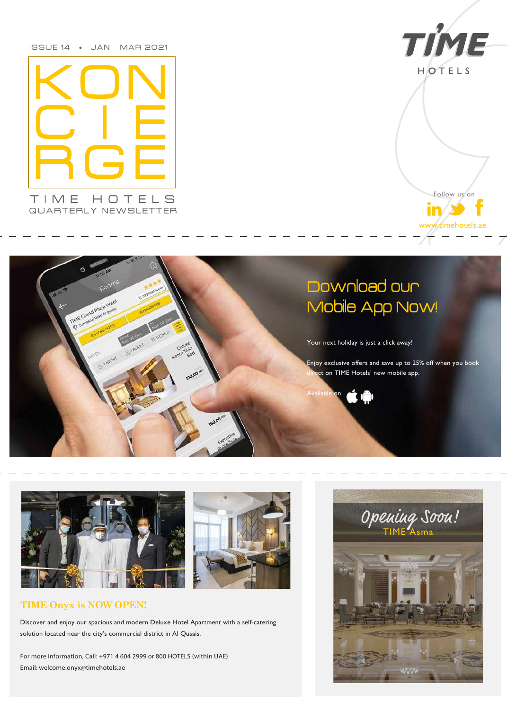ISSUE 14 • JAN - MAR 2021





Follow us on  $in/3$ www.timehotels.ae

### **TIME Onyx is NOW OPEN!**

Discover and enjoy our spacious and modern Deluxe Hotel Apartment with a self-catering solution located near the city's commercial district in Al Qusais.

*For more information, Call: +971 4 604 2999 or 800 HOTELS (within UAE) Email: welcome.onyx@timehotels.ae*